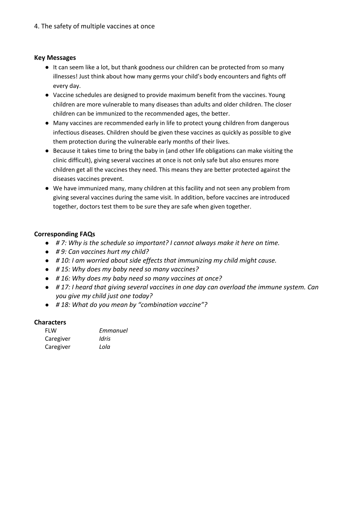## **Key Messages**

- It can seem like a lot, but thank goodness our children can be protected from so many illnesses! Just think about how many germs your child's body encounters and fights off every day.
- Vaccine schedules are designed to provide maximum benefit from the vaccines. Young children are more vulnerable to many diseases than adults and older children. The closer children can be immunized to the recommended ages, the better.
- Many vaccines are recommended early in life to protect young children from dangerous infectious diseases. Children should be given these vaccines as quickly as possible to give them protection during the vulnerable early months of their lives.
- Because it takes time to bring the baby in (and other life obligations can make visiting the clinic difficult), giving several vaccines at once is not only safe but also ensures more children get all the vaccines they need. This means they are better protected against the diseases vaccines prevent.
- We have immunized many, many children at this facility and not seen any problem from giving several vaccines during the same visit. In addition, before vaccines are introduced together, doctors test them to be sure they are safe when given together.

# **Corresponding FAQs**

- *# 7: Why is the schedule so important? I cannot always make it here on time.*
- *# 9: Can vaccines hurt my child?*
- *# 10: I am worried about side effects that immunizing my child might cause.*
- *# 15: Why does my baby need so many vaccines?*
- *# 16: Why does my baby need so many vaccines at once?*
- *# 17: I heard that giving several vaccines in one day can overload the immune system. Can you give my child just one today?*
- *# 18: What do you mean by "combination vaccine"?*

### **Characters**

| <b>FLW</b> | Emmanuel |
|------------|----------|
| Caregiver  | Idris    |
| Caregiver  | Lola     |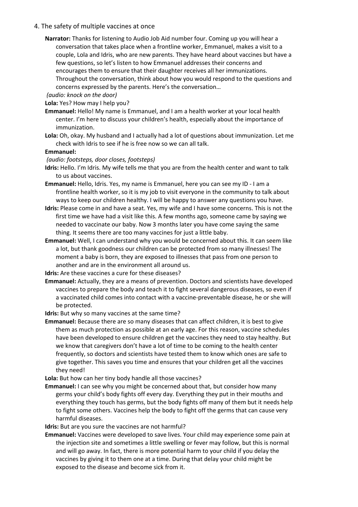### 4. The safety of multiple vaccines at once

**Narrator:** Thanks for listening to Audio Job Aid number four. Coming up you will hear a conversation that takes place when a frontline worker, Emmanuel, makes a visit to a couple, Lola and Idris, who are new parents. They have heard about vaccines but have a few questions, so let's listen to how Emmanuel addresses their concerns and encourages them to ensure that their daughter receives all her immunizations. Throughout the conversation, think about how you would respond to the questions and concerns expressed by the parents. Here's the conversation…

*(audio: knock on the door)*

**Lola:** Yes? How may I help you?

**Emmanuel:** Hello! My name is Emmanuel, and I am a health worker at your local health center. I'm here to discuss your children's health, especially about the importance of immunization.

**Lola:** Oh, okay. My husband and I actually had a lot of questions about immunization. Let me check with Idris to see if he is free now so we can all talk.

#### **Emmanuel:**

*(audio: footsteps, door closes, footsteps)*

- **Idris:** Hello. I'm Idris. My wife tells me that you are from the health center and want to talk to us about vaccines.
- **Emmanuel:** Hello, Idris. Yes, my name is Emmanuel, here you can see my ID I am a frontline health worker, so it is my job to visit everyone in the community to talk about ways to keep our children healthy. I will be happy to answer any questions you have.
- **Idris:** Please come in and have a seat. Yes, my wife and I have some concerns. This is not the first time we have had a visit like this. A few months ago, someone came by saying we needed to vaccinate our baby. Now 3 months later you have come saying the same thing. It seems there are too many vaccines for just a little baby.
- **Emmanuel:** Well, I can understand why you would be concerned about this. It can seem like a lot, but thank goodness our children can be protected from so many illnesses! The moment a baby is born, they are exposed to illnesses that pass from one person to another and are in the environment all around us.

**Idris:** Are these vaccines a cure for these diseases?

**Emmanuel:** Actually, they are a means of prevention. Doctors and scientists have developed vaccines to prepare the body and teach it to fight several dangerous diseases, so even if a vaccinated child comes into contact with a vaccine-preventable disease, he or she will be protected.

**Idris:** But why so many vaccines at the same time?

**Emmanuel:** Because there are so many diseases that can affect children, it is best to give them as much protection as possible at an early age. For this reason, vaccine schedules have been developed to ensure children get the vaccines they need to stay healthy. But we know that caregivers don't have a lot of time to be coming to the health center frequently, so doctors and scientists have tested them to know which ones are safe to give together. This saves you time and ensures that your children get all the vaccines they need!

- **Lola:** But how can her tiny body handle all those vaccines?
- **Emmanuel:** I can see why you might be concerned about that, but consider how many germs your child's body fights off every day. Everything they put in their mouths and everything they touch has germs, but the body fights off many of them but it needs help to fight some others. Vaccines help the body to fight off the germs that can cause very harmful diseases.

**Idris:** But are you sure the vaccines are not harmful?

**Emmanuel:** Vaccines were developed to save lives. Your child may experience some pain at the injection site and sometimes a little swelling or fever may follow, but this is normal and will go away. In fact, there is more potential harm to your child if you delay the vaccines by giving it to them one at a time. During that delay your child might be exposed to the disease and become sick from it.